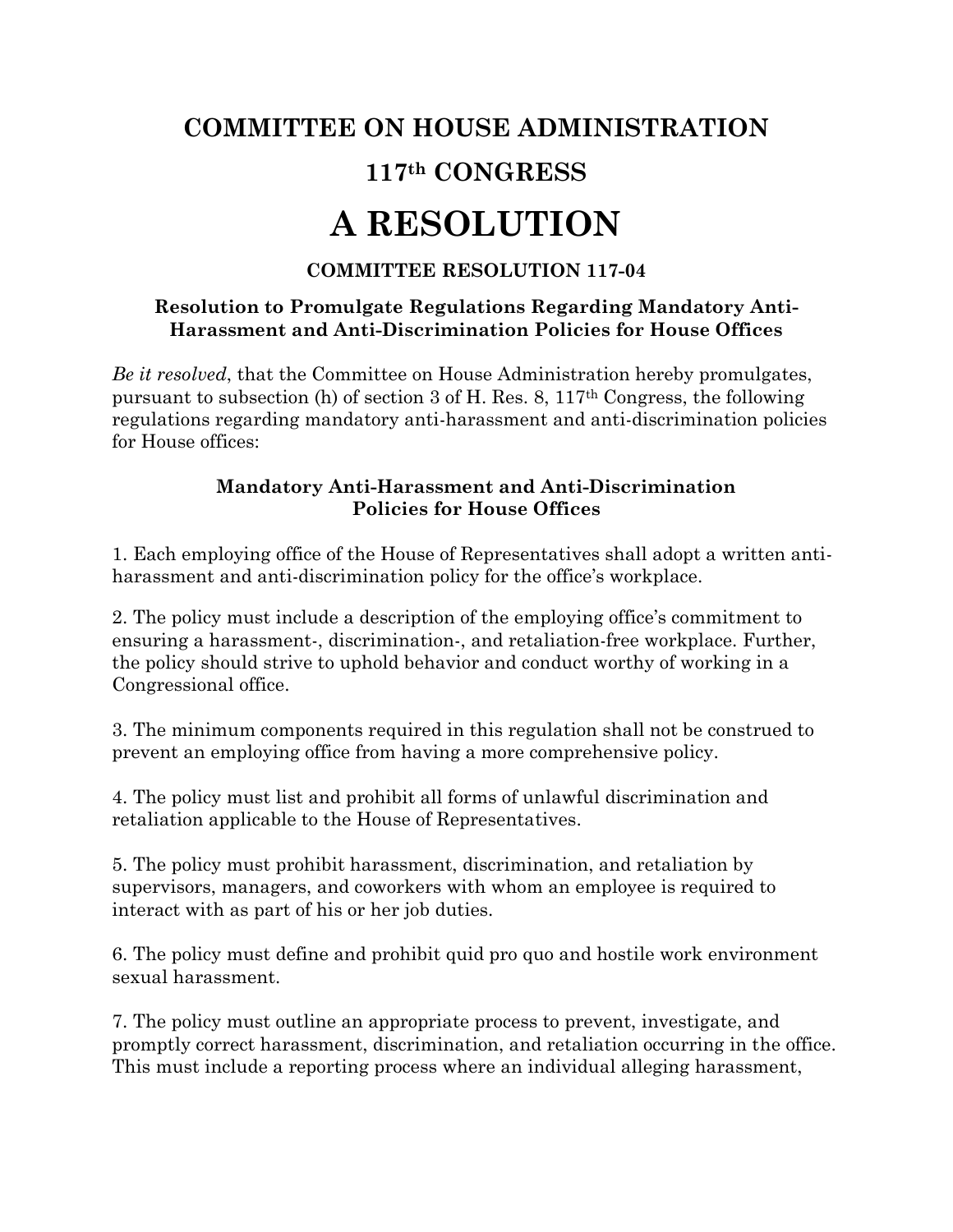## **COMMITTEE ON HOUSE ADMINISTRATION 117th CONGRESS A RESOLUTION**

## **COMMITTEE RESOLUTION 117-04**

## **Resolution to Promulgate Regulations Regarding Mandatory Anti-Harassment and Anti-Discrimination Policies for House Offices**

*Be it resolved*, that the Committee on House Administration hereby promulgates, pursuant to subsection (h) of section 3 of H. Res. 8, 117th Congress, the following regulations regarding mandatory anti-harassment and anti-discrimination policies for House offices:

## **Mandatory Anti-Harassment and Anti-Discrimination Policies for House Offices**

1. Each employing office of the House of Representatives shall adopt a written antiharassment and anti-discrimination policy for the office's workplace.

2. The policy must include a description of the employing office's commitment to ensuring a harassment-, discrimination-, and retaliation-free workplace. Further, the policy should strive to uphold behavior and conduct worthy of working in a Congressional office.

3. The minimum components required in this regulation shall not be construed to prevent an employing office from having a more comprehensive policy.

4. The policy must list and prohibit all forms of unlawful discrimination and retaliation applicable to the House of Representatives.

5. The policy must prohibit harassment, discrimination, and retaliation by supervisors, managers, and coworkers with whom an employee is required to interact with as part of his or her job duties.

6. The policy must define and prohibit quid pro quo and hostile work environment sexual harassment.

7. The policy must outline an appropriate process to prevent, investigate, and promptly correct harassment, discrimination, and retaliation occurring in the office. This must include a reporting process where an individual alleging harassment,